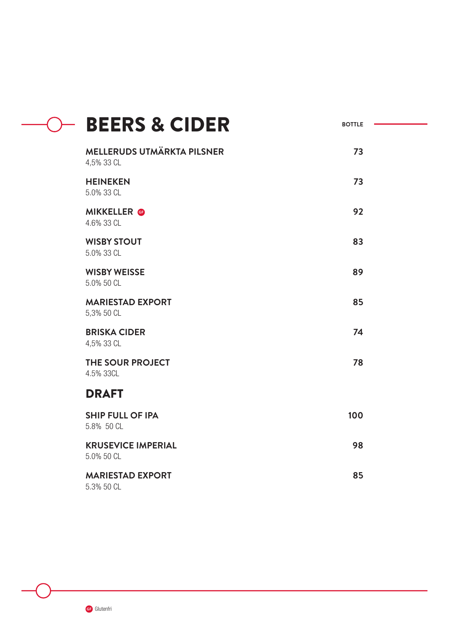| <b>BEERS &amp; CIDER</b>                        | <b>BOTTLE</b> |  |
|-------------------------------------------------|---------------|--|
| <b>MELLERUDS UTMÄRKTA PILSNER</b><br>4,5% 33 CL | 73            |  |
| <b>HEINEKEN</b><br>5.0% 33 CL                   | 73            |  |
| <b>MIKKELLER</b> @<br>4.6% 33 CL                | 92            |  |
| <b>WISBY STOUT</b><br>5.0% 33 CL                | 83            |  |
| <b>WISBY WEISSE</b><br>5.0% 50 CL               | 89            |  |
| <b>MARIESTAD EXPORT</b><br>5,3% 50 CL           | 85            |  |
| <b>BRISKA CIDER</b><br>4,5% 33 CL               | 74            |  |
| THE SOUR PROJECT<br>4.5% 33CL                   | 78            |  |
| <b>DRAFT</b>                                    |               |  |
| <b>SHIP FULL OF IPA</b><br>5.8% 50 CL           | 100           |  |
| <b>KRUSEVICE IMPERIAL</b><br>5.0% 50 CL         | 98            |  |
| <b>MARIESTAD EXPORT</b><br>5.3% 50 CL           | 85            |  |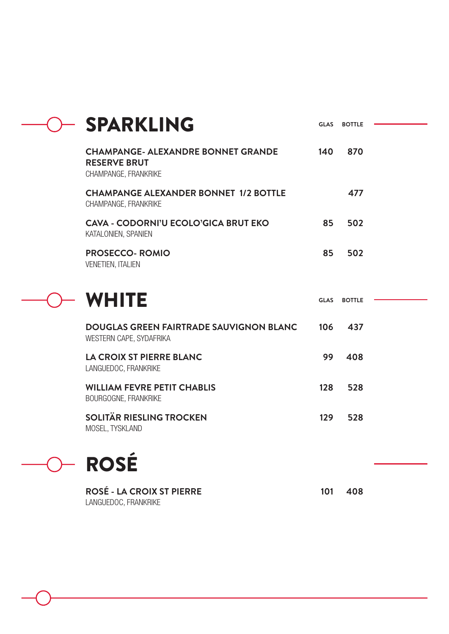| <b>SPARKLING</b>                                                                         | <b>GLAS</b> | <b>BOTTLE</b> |  |
|------------------------------------------------------------------------------------------|-------------|---------------|--|
| <b>CHAMPANGE- ALEXANDRE BONNET GRANDE</b><br><b>RESERVE BRUT</b><br>CHAMPANGE, FRANKRIKE | 140         | 870           |  |
| <b>CHAMPANGE ALEXANDER BONNET 1/2 BOTTLE</b><br>CHAMPANGE, FRANKRIKE                     |             | 477           |  |
| <b>CAVA - CODORNI'U ECOLO'GICA BRUT EKO</b><br>KATALONIEN, SPANIEN                       | 85          | 502           |  |
| <b>PROSECCO- ROMIO</b><br><b>VENETIEN, ITALIEN</b>                                       | 85          | 502           |  |
|                                                                                          |             |               |  |
| <b>WHITE</b>                                                                             | <b>GLAS</b> | <b>BOTTLE</b> |  |
| <b>DOUGLAS GREEN FAIRTRADE SAUVIGNON BLANC</b><br>WESTERN CAPE, SYDAFRIKA                | 106         | 437           |  |
| <b>LA CROIX ST PIERRE BLANC</b><br>LANGUEDOC, FRANKRIKE                                  | 99          | 408           |  |
| <b>WILLIAM FEVRE PETIT CHABLIS</b><br>BOURGOGNE, FRANKRIKE                               | 128         | 528           |  |

O ROSÉ

**ROSÉ - LA CROIX ST PIERRE**  LANGUEDOC, FRANKRIKE

**101 408**